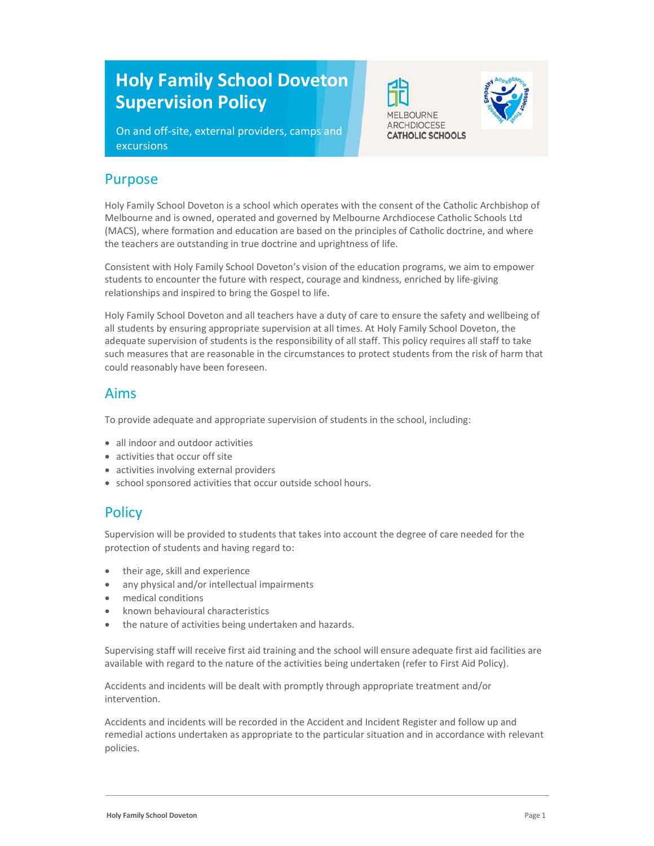# Holy Family School Doveton Supervision Policy

On and off-site, external providers, camps and excursions





Holy Family School Doveton is a school which operates with the consent of the Catholic Archbishop of Melbourne and is owned, operated and governed by Melbourne Archdiocese Catholic Schools Ltd (MACS), where formation and education are based on the principles of Catholic doctrine, and where the teachers are outstanding in true doctrine and uprightness of life.

Consistent with Holy Family School Doveton's vision of the education programs, we aim to empower students to encounter the future with respect, courage and kindness, enriched by life-giving relationships and inspired to bring the Gospel to life.

Holy Family School Doveton and all teachers have a duty of care to ensure the safety and wellbeing of all students by ensuring appropriate supervision at all times. At Holy Family School Doveton, the adequate supervision of students is the responsibility of all staff. This policy requires all staff to take such measures that are reasonable in the circumstances to protect students from the risk of harm that could reasonably have been foreseen.

#### Aims

To provide adequate and appropriate supervision of students in the school, including:

- all indoor and outdoor activities
- activities that occur off site
- activities involving external providers
- school sponsored activities that occur outside school hours.

# **Policy**

Supervision will be provided to students that takes into account the degree of care needed for the protection of students and having regard to:

- their age, skill and experience
- any physical and/or intellectual impairments
- medical conditions
- known behavioural characteristics
- the nature of activities being undertaken and hazards.

Supervising staff will receive first aid training and the school will ensure adequate first aid facilities are available with regard to the nature of the activities being undertaken (refer to First Aid Policy).

Accidents and incidents will be dealt with promptly through appropriate treatment and/or intervention.

Accidents and incidents will be recorded in the Accident and Incident Register and follow up and remedial actions undertaken as appropriate to the particular situation and in accordance with relevant policies.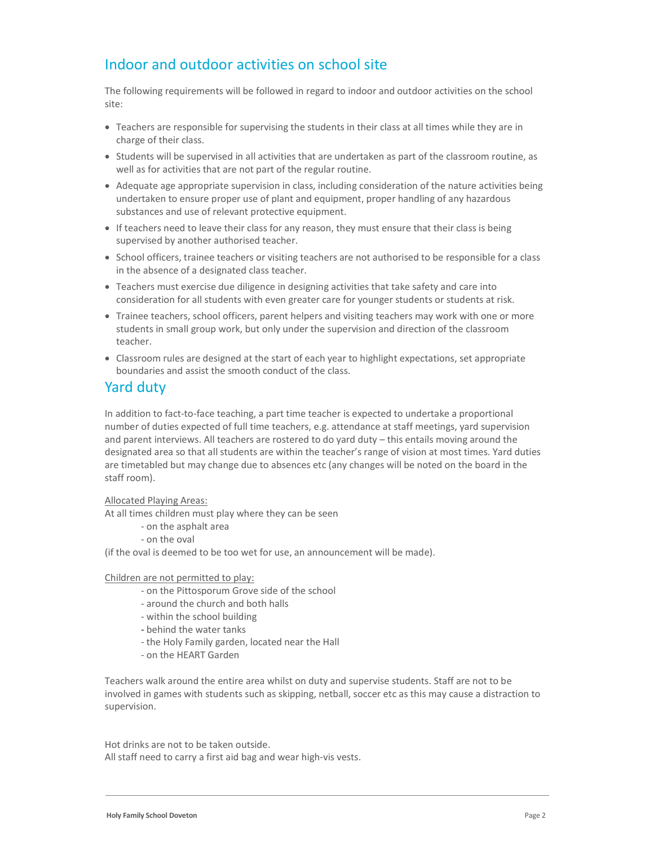# Indoor and outdoor activities on school site

The following requirements will be followed in regard to indoor and outdoor activities on the school site:

- Teachers are responsible for supervising the students in their class at all times while they are in charge of their class.
- Students will be supervised in all activities that are undertaken as part of the classroom routine, as well as for activities that are not part of the regular routine.
- Adequate age appropriate supervision in class, including consideration of the nature activities being undertaken to ensure proper use of plant and equipment, proper handling of any hazardous substances and use of relevant protective equipment.
- If teachers need to leave their class for any reason, they must ensure that their class is being supervised by another authorised teacher.
- School officers, trainee teachers or visiting teachers are not authorised to be responsible for a class in the absence of a designated class teacher.
- Teachers must exercise due diligence in designing activities that take safety and care into consideration for all students with even greater care for younger students or students at risk.
- Trainee teachers, school officers, parent helpers and visiting teachers may work with one or more students in small group work, but only under the supervision and direction of the classroom teacher.
- Classroom rules are designed at the start of each year to highlight expectations, set appropriate boundaries and assist the smooth conduct of the class.

### Yard duty

In addition to fact-to-face teaching, a part time teacher is expected to undertake a proportional number of duties expected of full time teachers, e.g. attendance at staff meetings, yard supervision and parent interviews. All teachers are rostered to do yard duty – this entails moving around the designated area so that all students are within the teacher's range of vision at most times. Yard duties are timetabled but may change due to absences etc (any changes will be noted on the board in the staff room).

Allocated Playing Areas:

At all times children must play where they can be seen

- on the asphalt area
- on the oval

(if the oval is deemed to be too wet for use, an announcement will be made).

#### Children are not permitted to play:

- on the Pittosporum Grove side of the school
- around the church and both halls
- within the school building
- behind the water tanks
- the Holy Family garden, located near the Hall
- on the HEART Garden

Teachers walk around the entire area whilst on duty and supervise students. Staff are not to be involved in games with students such as skipping, netball, soccer etc as this may cause a distraction to supervision.

Hot drinks are not to be taken outside. All staff need to carry a first aid bag and wear high-vis vests.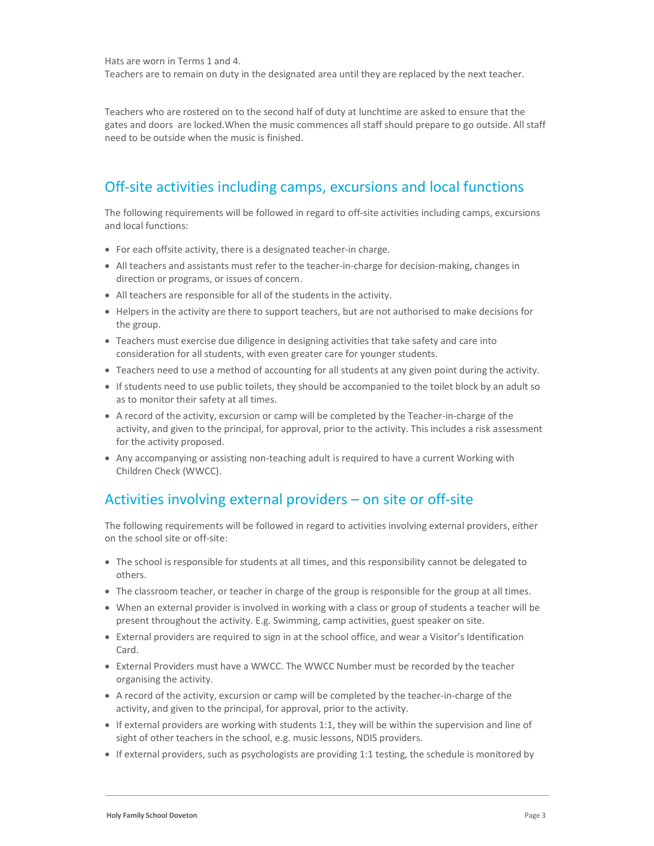Hats are worn in Terms 1 and 4.

Teachers are to remain on duty in the designated area until they are replaced by the next teacher.

Teachers who are rostered on to the second half of duty at lunchtime are asked to ensure that the gates and doors are locked.When the music commences all staff should prepare to go outside. All staff need to be outside when the music is finished.

# Off-site activities including camps, excursions and local functions

The following requirements will be followed in regard to off-site activities including camps, excursions and local functions:

- For each offsite activity, there is a designated teacher-in charge.
- All teachers and assistants must refer to the teacher-in-charge for decision-making, changes in direction or programs, or issues of concern.
- All teachers are responsible for all of the students in the activity.
- Helpers in the activity are there to support teachers, but are not authorised to make decisions for the group.
- Teachers must exercise due diligence in designing activities that take safety and care into consideration for all students, with even greater care for younger students.
- Teachers need to use a method of accounting for all students at any given point during the activity.
- If students need to use public toilets, they should be accompanied to the toilet block by an adult so as to monitor their safety at all times.
- A record of the activity, excursion or camp will be completed by the Teacher-in-charge of the activity, and given to the principal, for approval, prior to the activity. This includes a risk assessment for the activity proposed.
- Any accompanying or assisting non-teaching adult is required to have a current Working with Children Check (WWCC).

# Activities involving external providers – on site or off-site

The following requirements will be followed in regard to activities involving external providers, either on the school site or off-site:

- The school is responsible for students at all times, and this responsibility cannot be delegated to others.
- The classroom teacher, or teacher in charge of the group is responsible for the group at all times.
- When an external provider is involved in working with a class or group of students a teacher will be present throughout the activity. E.g. Swimming, camp activities, guest speaker on site.
- External providers are required to sign in at the school office, and wear a Visitor's Identification Card.
- External Providers must have a WWCC. The WWCC Number must be recorded by the teacher organising the activity.
- A record of the activity, excursion or camp will be completed by the teacher-in-charge of the activity, and given to the principal, for approval, prior to the activity.
- If external providers are working with students 1:1, they will be within the supervision and line of sight of other teachers in the school, e.g. music lessons, NDIS providers.
- If external providers, such as psychologists are providing 1:1 testing, the schedule is monitored by